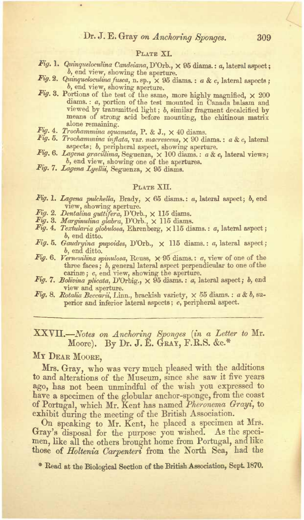#### Prive VI

- Fig. 1. Quinqueloculina Candeiana, D'Orb., × 95 diama.: a. lateral amoest : b, end view, showing the aperture.
- Fig. 2. Quinqueloculina fusca, n. sp., × 95 diama. : a & c. lateral aspects ; b, end view, showing aperture.
- Fig. 3. Portions of the test of the same, more highly magnified, × 200 diams. : a, portion of the test mounted in Canada balanm and viewed by transmitted light; b, similar fragment decalcified by means of strong seid before mounting, the chitinous matrix alone remaining.
- Fig. 4. Trochammina squanata, P. & J.,  $\times$  40 dinms.
- Fig. 5. Trochammina inflata, var. macrescens, X 90 diams. : a & c. lateral aspects; b, peripheral aspect, showing aperture.<br>Fig. 6. Lagena gracilima, Seguenza, × 100 diams.: a & c, lateral views;
- $b$ , end view, showing one of the apertures.
- Fig. 7. Lagena Lyellii, Seguenza, × 95 diama.

#### PLATE XII.

- Fig. 1. Lagena pulchella. Brady. x 65 diams.: a lateral aspect: b. end view, showing aperture.
- 
- Fig. 2. Dentalina guttifera, D'Orb., × 115 diams.<br>Fig. 3. Marginulina glabra, D'Orb., × 115 diams.
- $Fig. 4. Terbulari<sub>a</sub> debulons. Rhrenhenv.  $\times$  115 diama: a. lateral senect:$ h and ditto
- Fig. 5. Gaudryina pupoides, D'Orb., x 115 diams. : a, lateral aspect;  $b$ , end ditto.
- Fig. 6. Versemiina spinulosa, Reuss,  $\times$  95 diams.: a, view of one of the three faces: b, general lateral aspect perpendicular to one of the carings: c. end view, showing the aperture.
- Fig. 7. Bolivina plicata, D'Orbig., × 95 diams. : a, lateral aspect; b, end view and aperture.
- Fig. 8. Rotalia Beccarii, Linn., brackish variety, × 55 diams. : a & b. superior and inferior lateral aspects: c. peripheral aspect.

### XXVII.-Notes on Anchoring Sponges (in a Letter to Mr. Moore). By Dr. J. E. GRAY, F.R.S. &c.\*

# MY DEAR MOORE.

Mrs. Gray, who was very much pleased with the additions to and alterations of the Museum, since she saw it five years ago, has not been unmindful of the wish you expressed to have a specimen of the globular anchor-sponge, from the coast of Portugal, which Mr. Kent has named Pheronema Grayi, to exhibit during the meeting of the British Association.

On speaking to Mr. Kent, he placed a specimen at Mrs. Gray's disposal for the purpose you wished. As the specimen, like all the others brought home from Portugal, and like those of Holtenia Carpenters from the North Sea, had the

<sup>®</sup> Read at the Biological Section of the British Association, Sept. 1870.

 $309$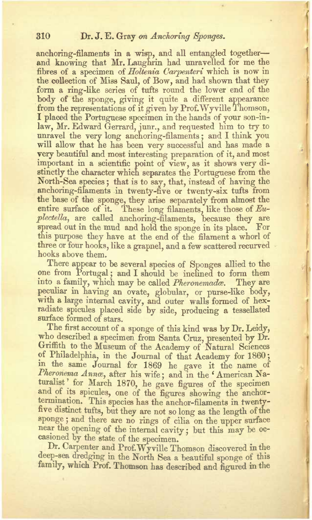anchoring-filaments in a wisp, and all entangled together— and knowing that Mr. Laughrin had unravelled for me the fibres of a specimen of Holtenia Carpenteri which is now it the collection of Miss Saul, of Bow, and had shown that they form a ring-like series of tufts round the lower end of the body of the sponge, giving it quite a different appearance from the representations of it given by Prof. Wyville Thomson, I placed the Portuguese specimen in the hands of your son-inlaw, Mr. Edward Gerrard, junr., and requested him to try to unravel the very long anchoring-filaments; and I think you will allow that he has been very successful and has made a very beautiful and most interesting preparation of it, and most important in a scientific point of view, as it shows very di-stinctly the character which separates the Portuguese from the North-Sea species; that is to say, that, instead of having the anchoring-filaments in twenty-five or twenty-six tufts from anchoring-filaments in twenty-five or twenty-six tufts from the base of the sponge, they arise separately from almost the entire surface of it. These long filaments, like those of *Eu-*<br>*plectella*, are called anchoring-filaments, because they are spread out in the mud and hold the sponge in its place. For this purpose they have at the end of the filament a whorl of three or four hooks, like a grapnel, and a few scattered recurved hooks above them.

There appear to be several species of Sponges allied to the one from Portugal; and I should be inclined to form them into a family, which may be called *Pheronemadce.* They are peculiar in having an ovate, globular, or purse-like body, with a large internal cavity, and outer walls formed of hexradiate spicules placed side by side, producing a tessellated surface formed of stars.

The first account of a sponge of this kind was by Dr. Leidy, who described a specimen from Santa Cruz, presented by Dr. Griffith to the Museum of the Academy of Natural Sciences of Philadelphia, in the Journal of that Academy for 1860; in the same Journal for 1869 he gave it the name of *Pheronema Anna,* after his wife; and in the \* American Naturalist' for March 1870, he gave figures of the specimen and of its spicules, one of the figures showing the anchortermination. This species has the anchor-filaments in twentyfive distinct tufts, but they are not so long as the length of the sponge; and there are no rings of cilia on the upper surface near the opening of the internal cavity: but this may be occasioned by the state of the specimen.

Dr. Carpenter and Prof.Wv ville Thomson discovered in the deep-sea dredging in the North Sea a beautiful sponge of this family, which Prof. Thomson has described and figured in the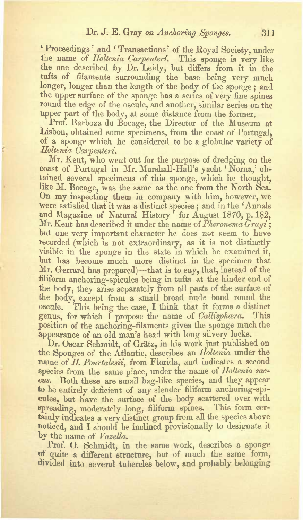# Dr. J. E. Gray on Anchoring Sponges. 311

! Proceedings ' and <sup>&</sup>lt; Transactions' of the Boyal Society, under the name of *Holtenia Carpenteri*. This sponge is very like the one described by Dr. Leidy, but differs from it in the tufts of filaments surrounding the base being very much longer, longer than the length of the body of the sponge; and the upper surface of the sponge has a series of very fine spines round the edge of the oscule, and another, similar series on the upper part of the body, at some distance from the former.

Prof. Barboza du Bocage, the Director of the Museum at Lisbon, obtained some specimens, from the coast of Portugal, of a sponge which he considered to be a globular variety of *Holtenia Carpenteri.*

Mr. Kent, who went out for the purpose of dredging on the coast of Portugal in Mr. Marshall-Hall's vacht ' Norna,' obtained several specimens of this sponge, which he thought, like M. Bocage, was the same as the one from the North Sea. On my inspecting them in company with him, however, we were satisfied that it was a distinct species; and in the 'Annals and Magazine of Natural History' for August 1870, p. 182, Mr. Kent has described it under the name of Pheronema Grayi<sup>+</sup> but one very important character he does net seem *to* have recorded (which is not extraordinary, as it is not distinctly visible in the sponge in the state in which he examined it, but has become much more distinct in the specimen that Mr. Gerrard has prepared)—that is to say, that, instead of the filiform anchoring-spicules being in tufts at the hinder end of the body, they arise separately from all pasts of the surface of the body, except from a small broad nude band round the oscule. This being the case, I think that it forms a distinct genus, for which I propose the name of *Callisphara*. This position of the anchoring-filaments gives the sponge much the appearance of an old man's head with long silvery locks.

Dr. Oscar Schmidt, of Grätz, in his work just published on the Sponges of the Atlantic, describes an *Holtenia* under the name of *H. Pourtalesii*, from Florida, and indicates a second species from the same place, under the name of *Holtenia saccus.* Both these are small bag-like species, and they appear to be entirely deficient of any slender filiform anchoring-spicules, but have the surface of the body scattered over with spreading, moderately long, filiform spines. This form certainly indicates a very distinct group from all the species above noticed, and I should be inclined provisionally to designate it by the name of *Vazetta.*

Prof. O. Schmidt, in the same work, describes a sponge of quite a different structure, but of much the same form, divided into several tubercles below, and probably belonging